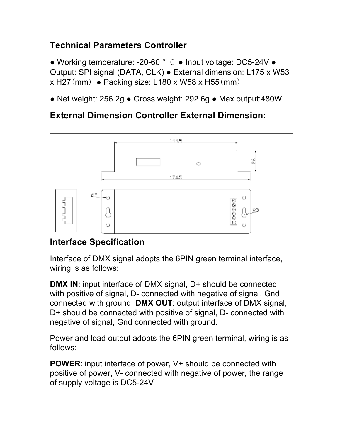# **Technical Parameters Controller**

● Working temperature: -20-60 ° C ● Input voltage: DC5-24V ● Output: SPI signal (DATA, CLK) ● External dimension: L175 x W53  $x$  H27(mm) • Packing size: L180 x W58 x H55(mm)

● Net weight: 256.2g ● Gross weight: 292.6g ● Max output:480W

## **External Dimension Controller External Dimension:**



## **Interface Specification**

Interface of DMX signal adopts the 6PIN green terminal interface, wiring is as follows:

**DMX IN:** input interface of DMX signal, D+ should be connected with positive of signal, D- connected with negative of signal, Gnd connected with ground. **DMX OUT**: output interface of DMX signal, D+ should be connected with positive of signal, D- connected with negative of signal, Gnd connected with ground.

Power and load output adopts the 6PIN green terminal, wiring is as follows:

**POWER**: input interface of power, V+ should be connected with positive of power, V- connected with negative of power, the range of supply voltage is DC5-24V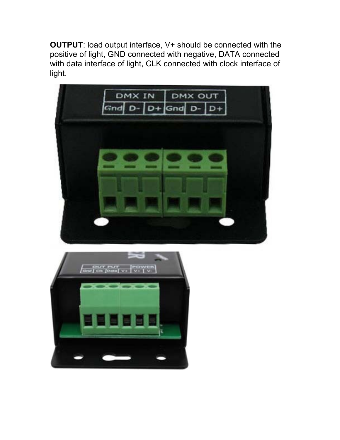**OUTPUT**: load output interface, V+ should be connected with the positive of light, GND connected with negative, DATA connected with data interface of light, CLK connected with clock interface of light.



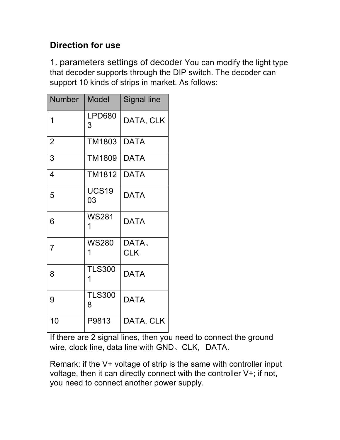# **Direction for use**

1. parameters settings of decoder You can modify the light type that decoder supports through the DIP switch. The decoder can support 10 kinds of strips in market. As follows:

| <b>Number</b>  | <b>Model</b>       | <b>Signal line</b> |
|----------------|--------------------|--------------------|
| 1              | <b>LPD680</b><br>3 | DATA, CLK          |
| $\overline{2}$ | <b>TM1803</b>      | <b>DATA</b>        |
| 3              | <b>TM1809</b>      | <b>DATA</b>        |
| 4              | TM1812             | <b>DATA</b>        |
| 5              | <b>UCS19</b><br>03 | <b>DATA</b>        |
| 6              | <b>WS281</b><br>1  | <b>DATA</b>        |
| $\overline{7}$ | <b>WS280</b>       | DATA.              |
|                | 1                  | <b>CLK</b>         |
| 8              | <b>TLS300</b><br>1 | <b>DATA</b>        |
| 9              | <b>TLS300</b><br>8 | <b>DATA</b>        |
| 10             | P9813              | DATA, CLK          |

If there are 2 signal lines, then you need to connect the ground wire, clock line, data line with GND、CLK, DATA.

Remark: if the V+ voltage of strip is the same with controller input voltage, then it can directly connect with the controller V+; if not, you need to connect another power supply.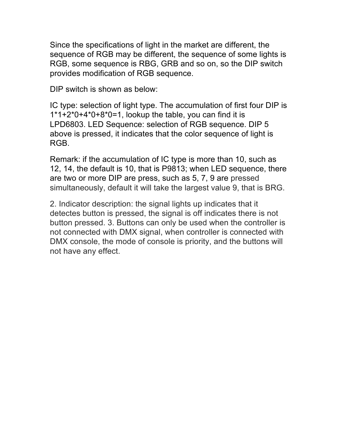Since the specifications of light in the market are different, the sequence of RGB may be different, the sequence of some lights is RGB, some sequence is RBG, GRB and so on, so the DIP switch provides modification of RGB sequence.

DIP switch is shown as below:

IC type: selection of light type. The accumulation of first four DIP is 1\*1+2\*0+4\*0+8\*0=1, lookup the table, you can find it is LPD6803. LED Sequence: selection of RGB sequence. DIP 5 above is pressed, it indicates that the color sequence of light is RGB.

Remark: if the accumulation of IC type is more than 10, such as 12, 14, the default is 10, that is P9813; when LED sequence, there are two or more DIP are press, such as 5, 7, 9 are pressed simultaneously, default it will take the largest value 9, that is BRG.

2. Indicator description: the signal lights up indicates that it detectes button is pressed, the signal is off indicates there is not button pressed. 3. Buttons can only be used when the controller is not connected with DMX signal, when controller is connected with DMX console, the mode of console is priority, and the buttons will not have any effect.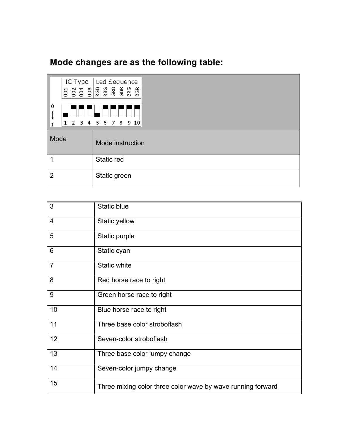# **Mode changes are as the following table:**

|                                                                         | IC Type<br>001 | Led Sequence     |
|-------------------------------------------------------------------------|----------------|------------------|
| 0<br>ţ<br>8<br>910<br>$\overline{2}$<br>3<br>5<br>6<br>7<br>1<br>4<br>1 |                |                  |
| Mode                                                                    |                | Mode instruction |
| 1                                                                       |                | Static red       |
| $\overline{2}$                                                          |                | Static green     |

| 3              | Static blue                                                 |
|----------------|-------------------------------------------------------------|
| $\overline{4}$ | Static yellow                                               |
| 5              | Static purple                                               |
| 6              | Static cyan                                                 |
| $\overline{7}$ | <b>Static white</b>                                         |
| 8              | Red horse race to right                                     |
| 9              | Green horse race to right                                   |
| 10             | Blue horse race to right                                    |
| 11             | Three base color stroboflash                                |
| 12             | Seven-color stroboflash                                     |
| 13             | Three base color jumpy change                               |
| 14             | Seven-color jumpy change                                    |
| 15             | Three mixing color three color wave by wave running forward |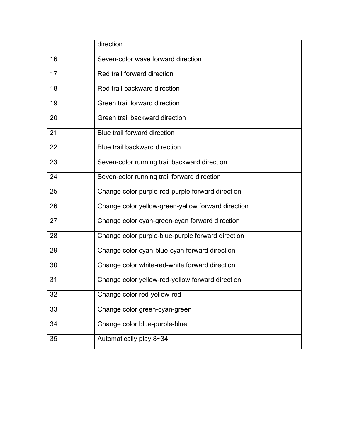|    | direction                                          |
|----|----------------------------------------------------|
| 16 | Seven-color wave forward direction                 |
| 17 | Red trail forward direction                        |
| 18 | Red trail backward direction                       |
| 19 | Green trail forward direction                      |
| 20 | Green trail backward direction                     |
| 21 | Blue trail forward direction                       |
| 22 | Blue trail backward direction                      |
| 23 | Seven-color running trail backward direction       |
| 24 | Seven-color running trail forward direction        |
| 25 | Change color purple-red-purple forward direction   |
| 26 | Change color yellow-green-yellow forward direction |
| 27 | Change color cyan-green-cyan forward direction     |
| 28 | Change color purple-blue-purple forward direction  |
| 29 | Change color cyan-blue-cyan forward direction      |
| 30 | Change color white-red-white forward direction     |
| 31 | Change color yellow-red-yellow forward direction   |
| 32 | Change color red-yellow-red                        |
| 33 | Change color green-cyan-green                      |
| 34 | Change color blue-purple-blue                      |
| 35 | Automatically play 8~34                            |